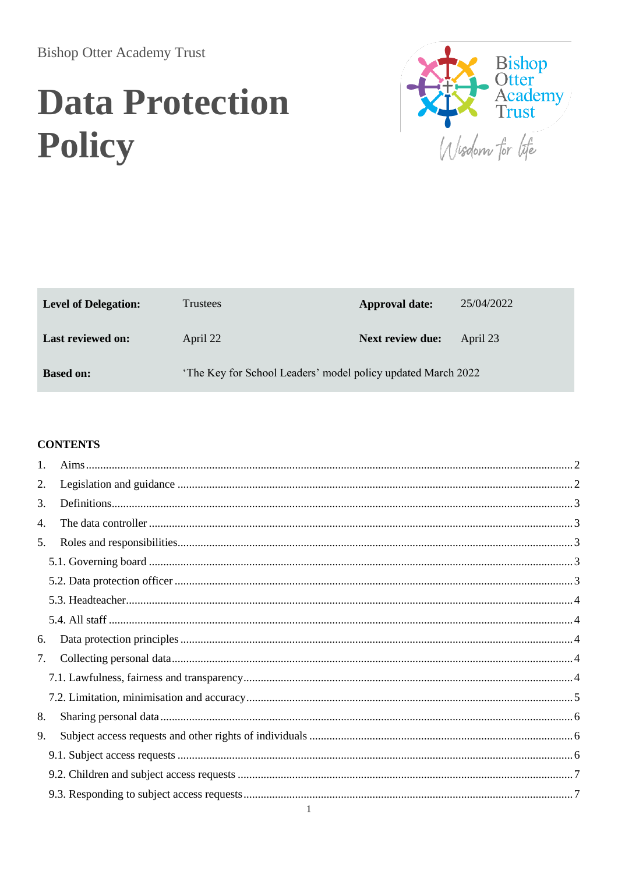**Bishop Otter Academy Trust** 

# **Data Protection** Policy



| <b>Level of Delegation:</b> | <b>Trustees</b>                                              | <b>Approval date:</b> | 25/04/2022 |
|-----------------------------|--------------------------------------------------------------|-----------------------|------------|
| <b>Last reviewed on:</b>    | April 22                                                     | Next review due:      | April 23   |
| <b>Based on:</b>            | 'The Key for School Leaders' model policy updated March 2022 |                       |            |

#### **CONTENTS**

| 1. |  |
|----|--|
| 2. |  |
| 3. |  |
| 4. |  |
| 5. |  |
|    |  |
|    |  |
|    |  |
|    |  |
| 6. |  |
| 7. |  |
|    |  |
|    |  |
| 8. |  |
| 9. |  |
|    |  |
|    |  |
|    |  |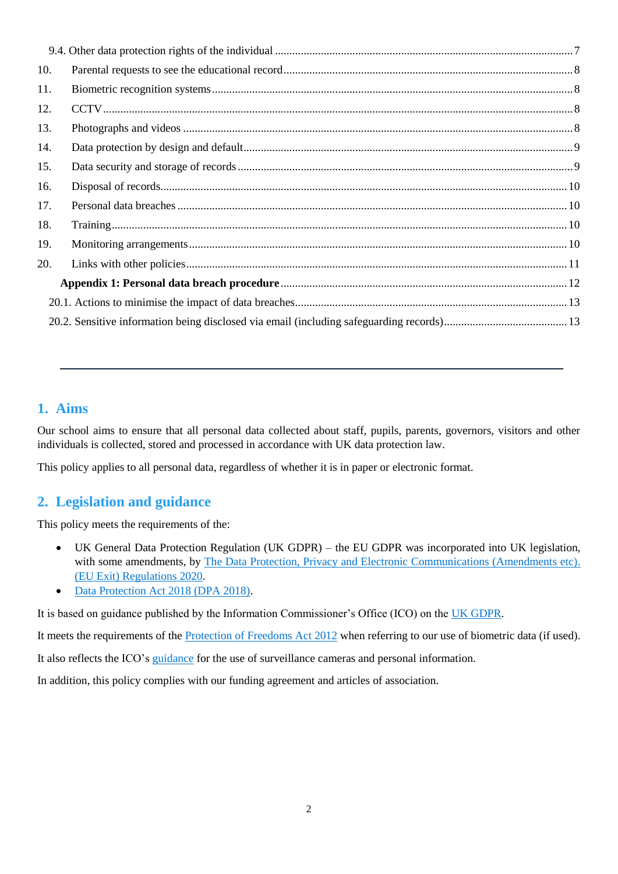| 10. |  |
|-----|--|
| 11. |  |
| 12. |  |
| 13. |  |
| 14. |  |
| 15. |  |
| 16. |  |
| 17. |  |
| 18. |  |
| 19. |  |
| 20. |  |
|     |  |
|     |  |
|     |  |
|     |  |

## <span id="page-1-0"></span>**1. Aims**

Our school aims to ensure that all personal data collected about staff, pupils, parents, governors, visitors and other individuals is collected, stored and processed in accordance with UK data protection law.

This policy applies to all personal data, regardless of whether it is in paper or electronic format.

### <span id="page-1-1"></span>**2. Legislation and guidance**

This policy meets the requirements of the:

- UK General Data Protection Regulation (UK GDPR) the EU GDPR was incorporated into UK legislation, with some amendments, by [The Data Protection, Privacy and Electronic Communications \(Amendments etc\).](https://www.legislation.gov.uk/uksi/2020/1586/made) [\(EU Exit\) Regulations 2020.](https://www.legislation.gov.uk/uksi/2020/1586/made)
- [Data Protection Act 2018 \(DPA 2018\).](http://www.legislation.gov.uk/ukpga/2018/12/contents/enacted)

It is based on guidance published by the Information Commissioner's Office (ICO) on the [UK GDPR.](https://ico.org.uk/for-organisations/guide-to-data-protection/guide-to-the-general-data-protection-regulation-gdpr/)

It meets the requirements of the [Protection of Freedoms Act 2012](https://www.legislation.gov.uk/ukpga/2012/9/part/1/chapter/2) when referring to our use of biometric data (if used).

It also reflects the ICO's [guidance](https://ico.org.uk/for-organisations/guide-to-data-protection/key-dp-themes/guidance-on-video-surveillance/) for the use of surveillance cameras and personal information.

In addition, this policy complies with our funding agreement and articles of association.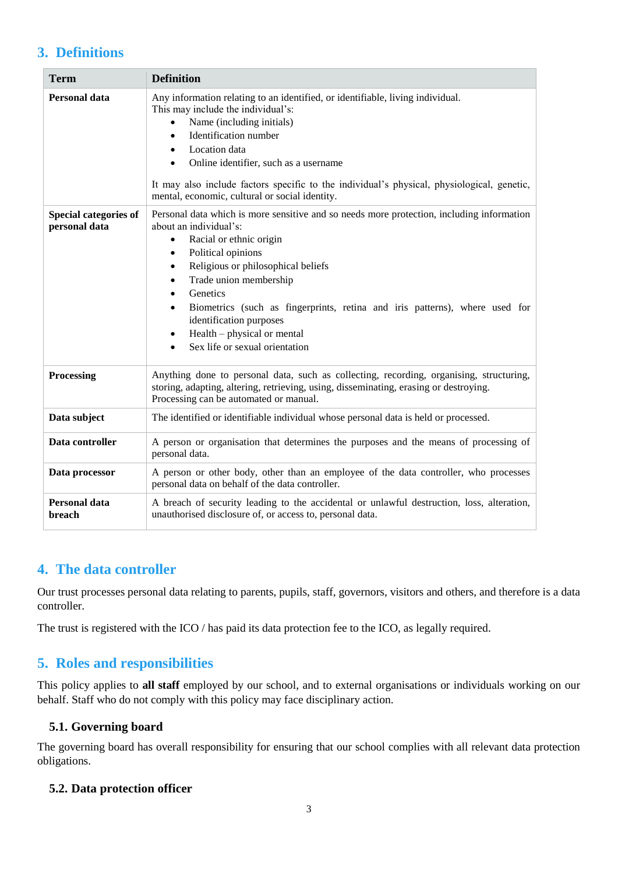## <span id="page-2-0"></span>**3. Definitions**

| <b>Term</b>                                   | <b>Definition</b>                                                                                                                                                                                                                                                                                                                                                                                                                                    |  |
|-----------------------------------------------|------------------------------------------------------------------------------------------------------------------------------------------------------------------------------------------------------------------------------------------------------------------------------------------------------------------------------------------------------------------------------------------------------------------------------------------------------|--|
| <b>Personal data</b>                          | Any information relating to an identified, or identifiable, living individual.<br>This may include the individual's:<br>Name (including initials)<br>Identification number<br>$\bullet$<br>Location data<br>Online identifier, such as a username<br>It may also include factors specific to the individual's physical, physiological, genetic,<br>mental, economic, cultural or social identity.                                                    |  |
| <b>Special categories of</b><br>personal data | Personal data which is more sensitive and so needs more protection, including information<br>about an individual's:<br>Racial or ethnic origin<br>$\bullet$<br>Political opinions<br>٠<br>Religious or philosophical beliefs<br>٠<br>Trade union membership<br>Genetics<br>Biometrics (such as fingerprints, retina and iris patterns), where used for<br>identification purposes<br>$Health - physical or mental$<br>Sex life or sexual orientation |  |
| Processing                                    | Anything done to personal data, such as collecting, recording, organising, structuring,<br>storing, adapting, altering, retrieving, using, disseminating, erasing or destroying.<br>Processing can be automated or manual.                                                                                                                                                                                                                           |  |
| Data subject                                  | The identified or identifiable individual whose personal data is held or processed.                                                                                                                                                                                                                                                                                                                                                                  |  |
| Data controller                               | A person or organisation that determines the purposes and the means of processing of<br>personal data.                                                                                                                                                                                                                                                                                                                                               |  |
| Data processor                                | A person or other body, other than an employee of the data controller, who processes<br>personal data on behalf of the data controller.                                                                                                                                                                                                                                                                                                              |  |
| Personal data<br>breach                       | A breach of security leading to the accidental or unlawful destruction, loss, alteration,<br>unauthorised disclosure of, or access to, personal data.                                                                                                                                                                                                                                                                                                |  |

### <span id="page-2-1"></span>**4. The data controller**

Our trust processes personal data relating to parents, pupils, staff, governors, visitors and others, and therefore is a data controller.

The trust is registered with the ICO / has paid its data protection fee to the ICO, as legally required.

## <span id="page-2-2"></span>**5. Roles and responsibilities**

This policy applies to **all staff** employed by our school, and to external organisations or individuals working on our behalf. Staff who do not comply with this policy may face disciplinary action.

#### <span id="page-2-3"></span>**5.1. Governing board**

The governing board has overall responsibility for ensuring that our school complies with all relevant data protection obligations.

#### <span id="page-2-4"></span>**5.2. Data protection officer**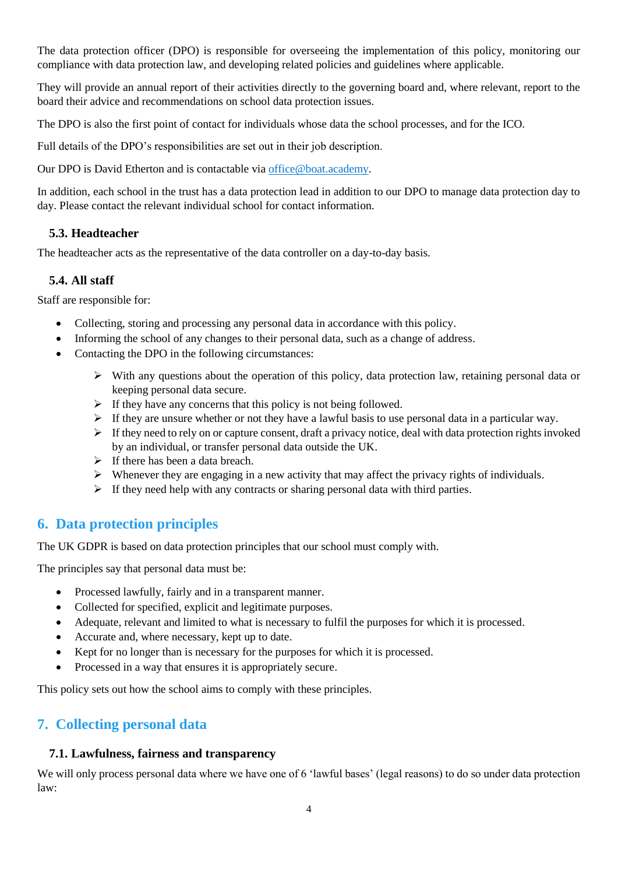The data protection officer (DPO) is responsible for overseeing the implementation of this policy, monitoring our compliance with data protection law, and developing related policies and guidelines where applicable.

They will provide an annual report of their activities directly to the governing board and, where relevant, report to the board their advice and recommendations on school data protection issues.

The DPO is also the first point of contact for individuals whose data the school processes, and for the ICO.

Full details of the DPO's responsibilities are set out in their job description.

Our DPO is David Etherton and is contactable vi[a office@boat.academy.](mailto:office@boat.academy)

In addition, each school in the trust has a data protection lead in addition to our DPO to manage data protection day to day. Please contact the relevant individual school for contact information.

#### <span id="page-3-0"></span>**5.3. Headteacher**

The headteacher acts as the representative of the data controller on a day-to-day basis.

#### <span id="page-3-1"></span>**5.4. All staff**

Staff are responsible for:

- Collecting, storing and processing any personal data in accordance with this policy.
- Informing the school of any changes to their personal data, such as a change of address.
- Contacting the DPO in the following circumstances:
	- $\triangleright$  With any questions about the operation of this policy, data protection law, retaining personal data or keeping personal data secure.
	- $\triangleright$  If they have any concerns that this policy is not being followed.
	- $\triangleright$  If they are unsure whether or not they have a lawful basis to use personal data in a particular way.
	- $\triangleright$  If they need to rely on or capture consent, draft a privacy notice, deal with data protection rights invoked by an individual, or transfer personal data outside the UK.
	- $\triangleright$  If there has been a data breach.
	- $\triangleright$  Whenever they are engaging in a new activity that may affect the privacy rights of individuals.
	- $\triangleright$  If they need help with any contracts or sharing personal data with third parties.

### <span id="page-3-2"></span>**6. Data protection principles**

The UK GDPR is based on data protection principles that our school must comply with.

The principles say that personal data must be:

- Processed lawfully, fairly and in a transparent manner.
- Collected for specified, explicit and legitimate purposes.
- Adequate, relevant and limited to what is necessary to fulfil the purposes for which it is processed.
- Accurate and, where necessary, kept up to date.
- Kept for no longer than is necessary for the purposes for which it is processed.
- Processed in a way that ensures it is appropriately secure.

This policy sets out how the school aims to comply with these principles.

### <span id="page-3-3"></span>**7. Collecting personal data**

#### <span id="page-3-4"></span>**7.1. Lawfulness, fairness and transparency**

We will only process personal data where we have one of 6 'lawful bases' (legal reasons) to do so under data protection law: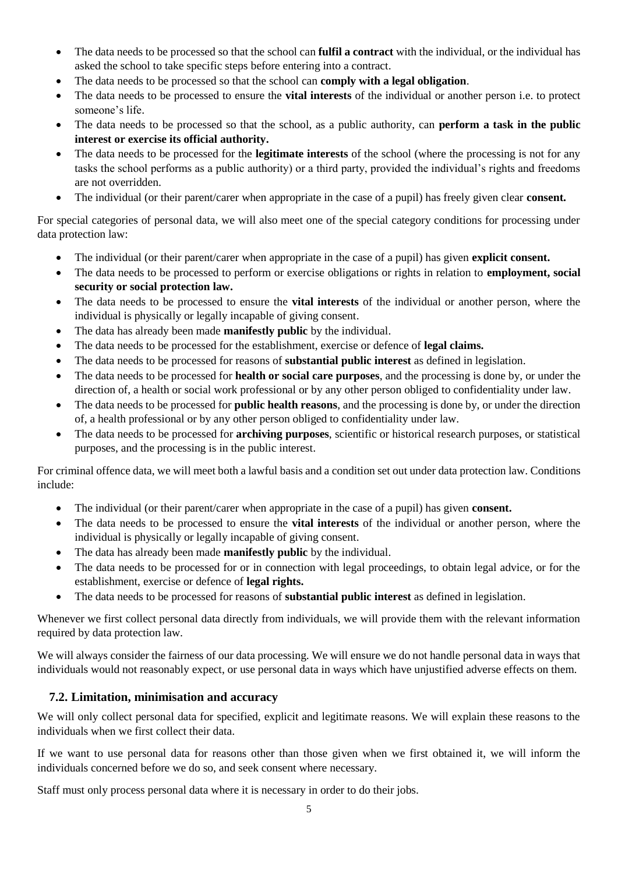- The data needs to be processed so that the school can **fulfil a contract** with the individual, or the individual has asked the school to take specific steps before entering into a contract.
- The data needs to be processed so that the school can **comply with a legal obligation**.
- The data needs to be processed to ensure the **vital interests** of the individual or another person i.e. to protect someone's life.
- The data needs to be processed so that the school, as a public authority, can **perform a task in the public interest or exercise its official authority.**
- The data needs to be processed for the **legitimate interests** of the school (where the processing is not for any tasks the school performs as a public authority) or a third party, provided the individual's rights and freedoms are not overridden.
- The individual (or their parent/carer when appropriate in the case of a pupil) has freely given clear **consent.**

For special categories of personal data, we will also meet one of the special category conditions for processing under data protection law:

- The individual (or their parent/carer when appropriate in the case of a pupil) has given **explicit consent.**
- The data needs to be processed to perform or exercise obligations or rights in relation to **employment, social security or social protection law.**
- The data needs to be processed to ensure the **vital interests** of the individual or another person, where the individual is physically or legally incapable of giving consent.
- The data has already been made **manifestly public** by the individual.
- The data needs to be processed for the establishment, exercise or defence of **legal claims.**
- The data needs to be processed for reasons of **substantial public interest** as defined in legislation.
- The data needs to be processed for **health or social care purposes**, and the processing is done by, or under the direction of, a health or social work professional or by any other person obliged to confidentiality under law.
- The data needs to be processed for **public health reasons**, and the processing is done by, or under the direction of, a health professional or by any other person obliged to confidentiality under law.
- The data needs to be processed for **archiving purposes**, scientific or historical research purposes, or statistical purposes, and the processing is in the public interest.

For criminal offence data, we will meet both a lawful basis and a condition set out under data protection law. Conditions include:

- The individual (or their parent/carer when appropriate in the case of a pupil) has given **consent.**
- The data needs to be processed to ensure the **vital interests** of the individual or another person, where the individual is physically or legally incapable of giving consent.
- The data has already been made **manifestly public** by the individual.
- The data needs to be processed for or in connection with legal proceedings, to obtain legal advice, or for the establishment, exercise or defence of **legal rights.**
- The data needs to be processed for reasons of **substantial public interest** as defined in legislation.

Whenever we first collect personal data directly from individuals, we will provide them with the relevant information required by data protection law.

We will always consider the fairness of our data processing. We will ensure we do not handle personal data in ways that individuals would not reasonably expect, or use personal data in ways which have unjustified adverse effects on them.

#### <span id="page-4-0"></span>**7.2. Limitation, minimisation and accuracy**

We will only collect personal data for specified, explicit and legitimate reasons. We will explain these reasons to the individuals when we first collect their data.

If we want to use personal data for reasons other than those given when we first obtained it, we will inform the individuals concerned before we do so, and seek consent where necessary.

Staff must only process personal data where it is necessary in order to do their jobs.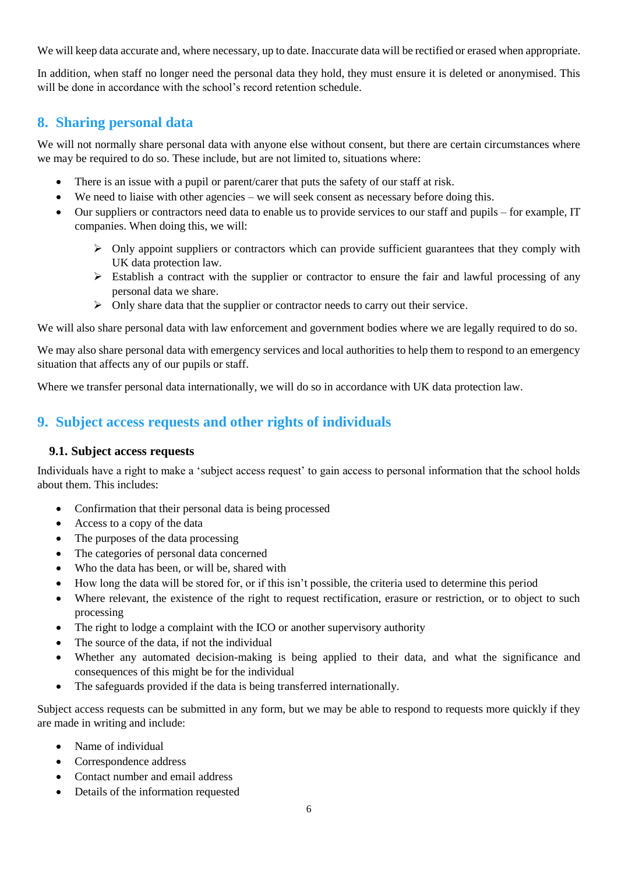We will keep data accurate and, where necessary, up to date. Inaccurate data will be rectified or erased when appropriate.

In addition, when staff no longer need the personal data they hold, they must ensure it is deleted or anonymised. This will be done in accordance with the school's record retention schedule.

### <span id="page-5-0"></span>**8. Sharing personal data**

We will not normally share personal data with anyone else without consent, but there are certain circumstances where we may be required to do so. These include, but are not limited to, situations where:

- There is an issue with a pupil or parent/carer that puts the safety of our staff at risk.
- We need to liaise with other agencies we will seek consent as necessary before doing this.
- Our suppliers or contractors need data to enable us to provide services to our staff and pupils for example, IT companies. When doing this, we will:
	- $\triangleright$  Only appoint suppliers or contractors which can provide sufficient guarantees that they comply with UK data protection law.
	- $\triangleright$  Establish a contract with the supplier or contractor to ensure the fair and lawful processing of any personal data we share.
	- $\triangleright$  Only share data that the supplier or contractor needs to carry out their service.

We will also share personal data with law enforcement and government bodies where we are legally required to do so.

We may also share personal data with emergency services and local authorities to help them to respond to an emergency situation that affects any of our pupils or staff.

Where we transfer personal data internationally, we will do so in accordance with UK data protection law.

## <span id="page-5-1"></span>**9. Subject access requests and other rights of individuals**

#### <span id="page-5-2"></span>**9.1. Subject access requests**

Individuals have a right to make a 'subject access request' to gain access to personal information that the school holds about them. This includes:

- Confirmation that their personal data is being processed
- Access to a copy of the data
- The purposes of the data processing
- The categories of personal data concerned
- Who the data has been, or will be, shared with
- How long the data will be stored for, or if this isn't possible, the criteria used to determine this period
- Where relevant, the existence of the right to request rectification, erasure or restriction, or to object to such processing
- The right to lodge a complaint with the ICO or another supervisory authority
- The source of the data, if not the individual
- Whether any automated decision-making is being applied to their data, and what the significance and consequences of this might be for the individual
- The safeguards provided if the data is being transferred internationally.

Subject access requests can be submitted in any form, but we may be able to respond to requests more quickly if they are made in writing and include:

- Name of individual
- Correspondence address
- Contact number and email address
- Details of the information requested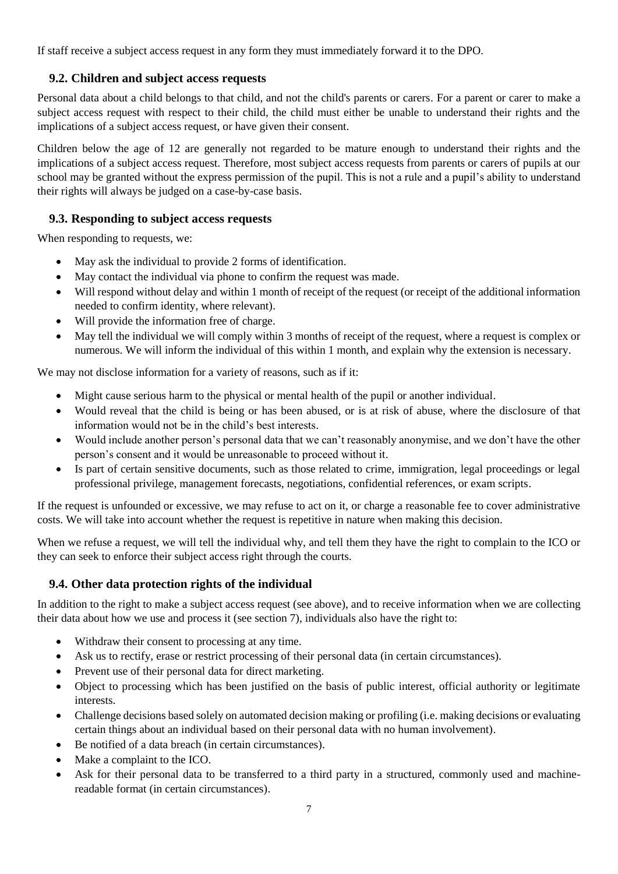If staff receive a subject access request in any form they must immediately forward it to the DPO.

#### <span id="page-6-0"></span>**9.2. Children and subject access requests**

Personal data about a child belongs to that child, and not the child's parents or carers. For a parent or carer to make a subject access request with respect to their child, the child must either be unable to understand their rights and the implications of a subject access request, or have given their consent.

Children below the age of 12 are generally not regarded to be mature enough to understand their rights and the implications of a subject access request. Therefore, most subject access requests from parents or carers of pupils at our school may be granted without the express permission of the pupil. This is not a rule and a pupil's ability to understand their rights will always be judged on a case-by-case basis.

#### <span id="page-6-1"></span>**9.3. Responding to subject access requests**

When responding to requests, we:

- May ask the individual to provide 2 forms of identification.
- May contact the individual via phone to confirm the request was made.
- Will respond without delay and within 1 month of receipt of the request (or receipt of the additional information needed to confirm identity, where relevant).
- Will provide the information free of charge.
- May tell the individual we will comply within 3 months of receipt of the request, where a request is complex or numerous. We will inform the individual of this within 1 month, and explain why the extension is necessary.

We may not disclose information for a variety of reasons, such as if it:

- Might cause serious harm to the physical or mental health of the pupil or another individual.
- Would reveal that the child is being or has been abused, or is at risk of abuse, where the disclosure of that information would not be in the child's best interests.
- Would include another person's personal data that we can't reasonably anonymise, and we don't have the other person's consent and it would be unreasonable to proceed without it.
- Is part of certain sensitive documents, such as those related to crime, immigration, legal proceedings or legal professional privilege, management forecasts, negotiations, confidential references, or exam scripts.

If the request is unfounded or excessive, we may refuse to act on it, or charge a reasonable fee to cover administrative costs. We will take into account whether the request is repetitive in nature when making this decision.

When we refuse a request, we will tell the individual why, and tell them they have the right to complain to the ICO or they can seek to enforce their subject access right through the courts.

#### <span id="page-6-2"></span>**9.4. Other data protection rights of the individual**

In addition to the right to make a subject access request (see above), and to receive information when we are collecting their data about how we use and process it (see section 7), individuals also have the right to:

- Withdraw their consent to processing at any time.
- Ask us to rectify, erase or restrict processing of their personal data (in certain circumstances).
- Prevent use of their personal data for direct marketing.
- Object to processing which has been justified on the basis of public interest, official authority or legitimate interests.
- Challenge decisions based solely on automated decision making or profiling (i.e. making decisions or evaluating certain things about an individual based on their personal data with no human involvement).
- Be notified of a data breach (in certain circumstances).
- Make a complaint to the ICO.
- Ask for their personal data to be transferred to a third party in a structured, commonly used and machinereadable format (in certain circumstances).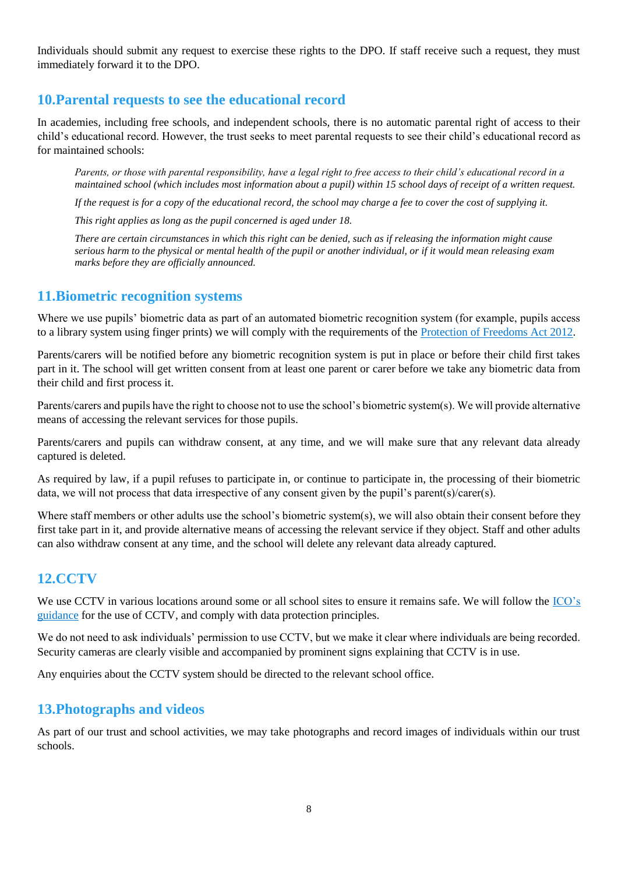Individuals should submit any request to exercise these rights to the DPO. If staff receive such a request, they must immediately forward it to the DPO.

## <span id="page-7-0"></span>**10.Parental requests to see the educational record**

In academies, including free schools, and independent schools, there is no automatic parental right of access to their child's educational record. However, the trust seeks to meet parental requests to see their child's educational record as for maintained schools:

*Parents, or those with parental responsibility, have a legal right to free access to their child's educational record in a maintained school (which includes most information about a pupil) within 15 school days of receipt of a written request.*

*If the request is for a copy of the educational record, the school may charge a fee to cover the cost of supplying it.*

*This right applies as long as the pupil concerned is aged under 18.*

*There are certain circumstances in which this right can be denied, such as if releasing the information might cause serious harm to the physical or mental health of the pupil or another individual, or if it would mean releasing exam marks before they are officially announced.*

#### <span id="page-7-1"></span>**11.Biometric recognition systems**

Where we use pupils' biometric data as part of an automated biometric recognition system (for example, pupils access to a library system using finger prints) we will comply with the requirements of the [Protection of Freedoms Act 2012.](https://www.legislation.gov.uk/ukpga/2012/9/section/26)

Parents/carers will be notified before any biometric recognition system is put in place or before their child first takes part in it. The school will get written consent from at least one parent or carer before we take any biometric data from their child and first process it.

Parents/carers and pupils have the right to choose not to use the school's biometric system(s). We will provide alternative means of accessing the relevant services for those pupils.

Parents/carers and pupils can withdraw consent, at any time, and we will make sure that any relevant data already captured is deleted.

As required by law, if a pupil refuses to participate in, or continue to participate in, the processing of their biometric data, we will not process that data irrespective of any consent given by the pupil's parent(s)/carer(s).

Where staff members or other adults use the school's biometric system(s), we will also obtain their consent before they first take part in it, and provide alternative means of accessing the relevant service if they object. Staff and other adults can also withdraw consent at any time, and the school will delete any relevant data already captured.

### <span id="page-7-2"></span>**12.CCTV**

We use CCTV in various locations around some or all school sites to ensure it remains safe. We will follow the ICO's [guidance](https://ico.org.uk/for-organisations/guide-to-data-protection/key-dp-themes/guidance-on-video-surveillance/) for the use of CCTV, and comply with data protection principles.

We do not need to ask individuals' permission to use CCTV, but we make it clear where individuals are being recorded. Security cameras are clearly visible and accompanied by prominent signs explaining that CCTV is in use.

Any enquiries about the CCTV system should be directed to the relevant school office.

### <span id="page-7-3"></span>**13.Photographs and videos**

As part of our trust and school activities, we may take photographs and record images of individuals within our trust schools.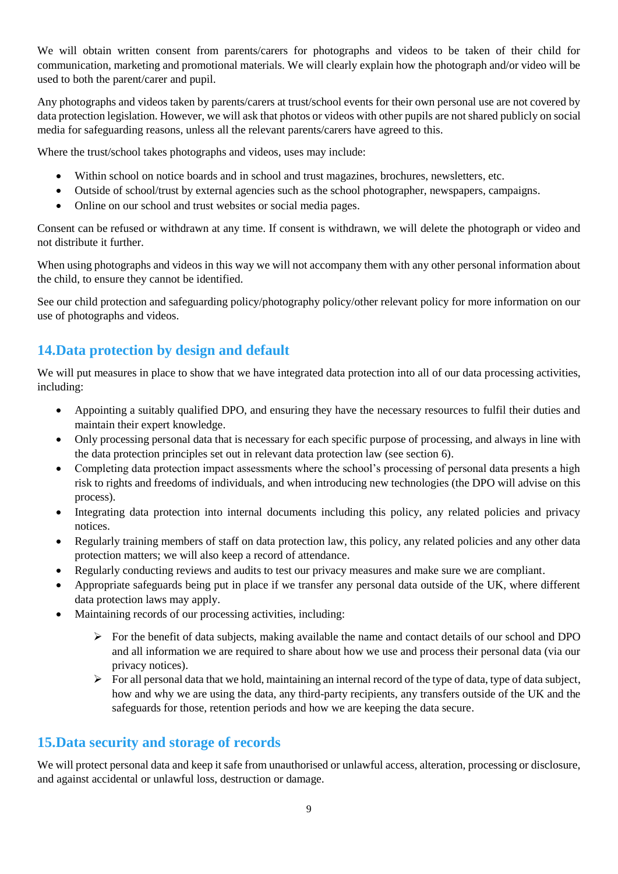We will obtain written consent from parents/carers for photographs and videos to be taken of their child for communication, marketing and promotional materials. We will clearly explain how the photograph and/or video will be used to both the parent/carer and pupil.

Any photographs and videos taken by parents/carers at trust/school events for their own personal use are not covered by data protection legislation. However, we will ask that photos or videos with other pupils are not shared publicly on social media for safeguarding reasons, unless all the relevant parents/carers have agreed to this.

Where the trust/school takes photographs and videos, uses may include:

- Within school on notice boards and in school and trust magazines, brochures, newsletters, etc.
- Outside of school/trust by external agencies such as the school photographer, newspapers, campaigns.
- Online on our school and trust websites or social media pages.

Consent can be refused or withdrawn at any time. If consent is withdrawn, we will delete the photograph or video and not distribute it further.

When using photographs and videos in this way we will not accompany them with any other personal information about the child, to ensure they cannot be identified.

See our child protection and safeguarding policy/photography policy/other relevant policy for more information on our use of photographs and videos.

## <span id="page-8-0"></span>**14.Data protection by design and default**

We will put measures in place to show that we have integrated data protection into all of our data processing activities, including:

- Appointing a suitably qualified DPO, and ensuring they have the necessary resources to fulfil their duties and maintain their expert knowledge.
- Only processing personal data that is necessary for each specific purpose of processing, and always in line with the data protection principles set out in relevant data protection law (see section 6).
- Completing data protection impact assessments where the school's processing of personal data presents a high risk to rights and freedoms of individuals, and when introducing new technologies (the DPO will advise on this process).
- Integrating data protection into internal documents including this policy, any related policies and privacy notices.
- Regularly training members of staff on data protection law, this policy, any related policies and any other data protection matters; we will also keep a record of attendance.
- Regularly conducting reviews and audits to test our privacy measures and make sure we are compliant.
- Appropriate safeguards being put in place if we transfer any personal data outside of the UK, where different data protection laws may apply.
- Maintaining records of our processing activities, including:
	- $\triangleright$  For the benefit of data subjects, making available the name and contact details of our school and DPO and all information we are required to share about how we use and process their personal data (via our privacy notices).
	- $\triangleright$  For all personal data that we hold, maintaining an internal record of the type of data, type of data subject, how and why we are using the data, any third-party recipients, any transfers outside of the UK and the safeguards for those, retention periods and how we are keeping the data secure.

## <span id="page-8-1"></span>**15.Data security and storage of records**

We will protect personal data and keep it safe from unauthorised or unlawful access, alteration, processing or disclosure, and against accidental or unlawful loss, destruction or damage.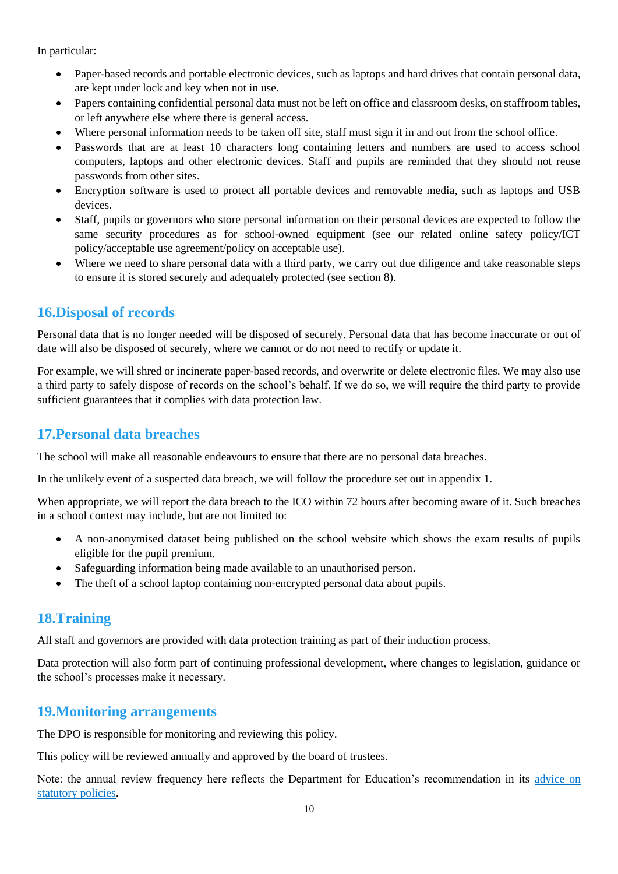In particular:

- Paper-based records and portable electronic devices, such as laptops and hard drives that contain personal data, are kept under lock and key when not in use.
- Papers containing confidential personal data must not be left on office and classroom desks, on staffroom tables, or left anywhere else where there is general access.
- Where personal information needs to be taken off site, staff must sign it in and out from the school office.
- Passwords that are at least 10 characters long containing letters and numbers are used to access school computers, laptops and other electronic devices. Staff and pupils are reminded that they should not reuse passwords from other sites.
- Encryption software is used to protect all portable devices and removable media, such as laptops and USB devices.
- Staff, pupils or governors who store personal information on their personal devices are expected to follow the same security procedures as for school-owned equipment (see our related online safety policy/ICT policy/acceptable use agreement/policy on acceptable use).
- Where we need to share personal data with a third party, we carry out due diligence and take reasonable steps to ensure it is stored securely and adequately protected (see section 8).

## <span id="page-9-0"></span>**16.Disposal of records**

Personal data that is no longer needed will be disposed of securely. Personal data that has become inaccurate or out of date will also be disposed of securely, where we cannot or do not need to rectify or update it.

For example, we will shred or incinerate paper-based records, and overwrite or delete electronic files. We may also use a third party to safely dispose of records on the school's behalf. If we do so, we will require the third party to provide sufficient guarantees that it complies with data protection law.

## <span id="page-9-1"></span>**17.Personal data breaches**

The school will make all reasonable endeavours to ensure that there are no personal data breaches.

In the unlikely event of a suspected data breach, we will follow the procedure set out in appendix 1.

When appropriate, we will report the data breach to the ICO within 72 hours after becoming aware of it. Such breaches in a school context may include, but are not limited to:

- A non-anonymised dataset being published on the school website which shows the exam results of pupils eligible for the pupil premium.
- Safeguarding information being made available to an unauthorised person.
- The theft of a school laptop containing non-encrypted personal data about pupils.

## <span id="page-9-2"></span>**18.Training**

All staff and governors are provided with data protection training as part of their induction process.

Data protection will also form part of continuing professional development, where changes to legislation, guidance or the school's processes make it necessary.

### <span id="page-9-3"></span>**19.Monitoring arrangements**

The DPO is responsible for monitoring and reviewing this policy.

This policy will be reviewed annually and approved by the board of trustees.

Note: the annual review frequency here reflects the Department for Education's recommendation in its [advice on](https://www.gov.uk/government/publications/statutory-policies-for-schools)  [statutory policies.](https://www.gov.uk/government/publications/statutory-policies-for-schools)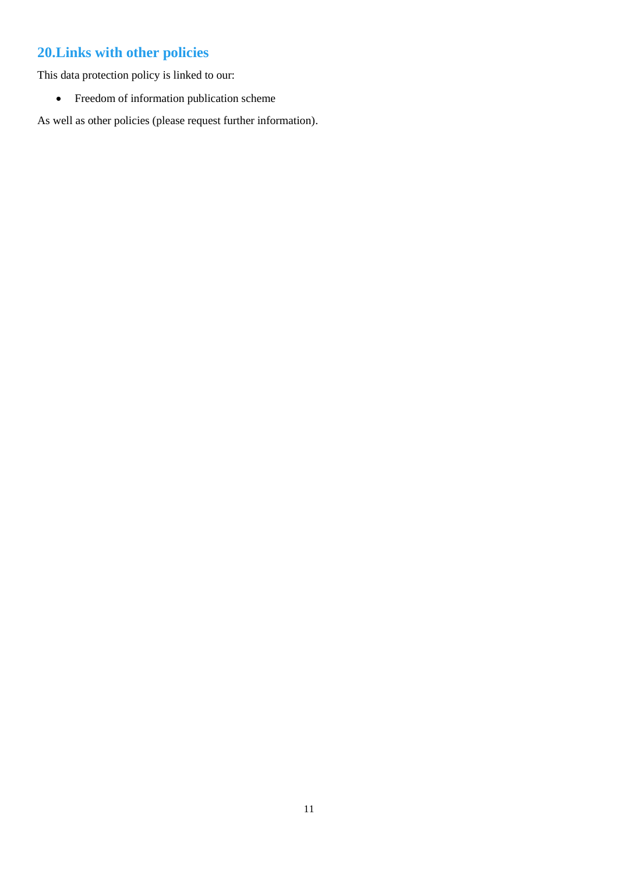# <span id="page-10-0"></span>**20.Links with other policies**

This data protection policy is linked to our:

Freedom of information publication scheme

As well as other policies (please request further information).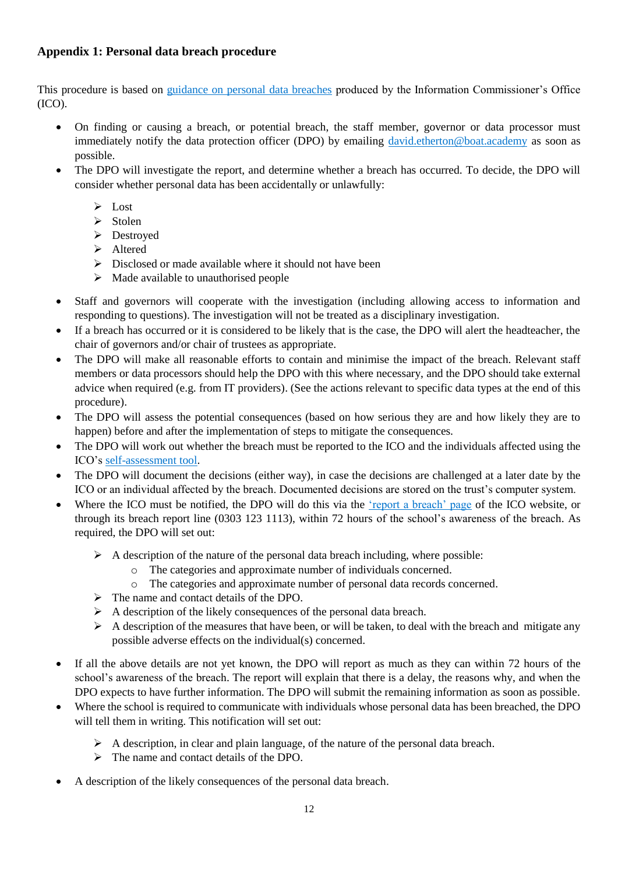#### <span id="page-11-0"></span>**Appendix 1: Personal data breach procedure**

This procedure is based on [guidance on personal data breaches](https://ico.org.uk/for-organisations/guide-to-the-general-data-protection-regulation-gdpr/personal-data-breaches/) produced by the Information Commissioner's Office (ICO).

- On finding or causing a breach, or potential breach, the staff member, governor or data processor must immediately notify the data protection officer (DPO) by emailing [david.etherton@boat.academy](mailto:david.etherton@boat.academy) as soon as possible.
- The DPO will investigate the report, and determine whether a breach has occurred. To decide, the DPO will consider whether personal data has been accidentally or unlawfully:
	- $\triangleright$  Lost
	- $\triangleright$  Stolen
	- > Destroyed
	- > Altered
	- $\triangleright$  Disclosed or made available where it should not have been
	- $\triangleright$  Made available to unauthorised people
- Staff and governors will cooperate with the investigation (including allowing access to information and responding to questions). The investigation will not be treated as a disciplinary investigation.
- If a breach has occurred or it is considered to be likely that is the case, the DPO will alert the headteacher, the chair of governors and/or chair of trustees as appropriate.
- The DPO will make all reasonable efforts to contain and minimise the impact of the breach. Relevant staff members or data processors should help the DPO with this where necessary, and the DPO should take external advice when required (e.g. from IT providers). (See the actions relevant to specific data types at the end of this procedure).
- The DPO will assess the potential consequences (based on how serious they are and how likely they are to happen) before and after the implementation of steps to mitigate the consequences.
- The DPO will work out whether the breach must be reported to the ICO and the individuals affected using the ICO's [self-assessment tool.](https://ico.org.uk/for-organisations/report-a-breach/personal-data-breach-assessment/)
- The DPO will document the decisions (either way), in case the decisions are challenged at a later date by the ICO or an individual affected by the breach. Documented decisions are stored on the trust's computer system.
- Where the ICO must be notified, the DPO will do this via the ['report a breach' page](https://ico.org.uk/for-organisations/report-a-breach/) of the ICO website, or through its breach report line (0303 123 1113), within 72 hours of the school's awareness of the breach. As required, the DPO will set out:
	- $\triangleright$  A description of the nature of the personal data breach including, where possible:
		- o The categories and approximate number of individuals concerned.
		- o The categories and approximate number of personal data records concerned.
	- $\triangleright$  The name and contact details of the DPO.
	- $\triangleright$  A description of the likely consequences of the personal data breach.
	- $\triangleright$  A description of the measures that have been, or will be taken, to deal with the breach and mitigate any possible adverse effects on the individual(s) concerned.
- If all the above details are not yet known, the DPO will report as much as they can within 72 hours of the school's awareness of the breach. The report will explain that there is a delay, the reasons why, and when the DPO expects to have further information. The DPO will submit the remaining information as soon as possible.
- Where the school is required to communicate with individuals whose personal data has been breached, the DPO will tell them in writing. This notification will set out:
	- $\triangleright$  A description, in clear and plain language, of the nature of the personal data breach.
	- $\triangleright$  The name and contact details of the DPO.
- A description of the likely consequences of the personal data breach.